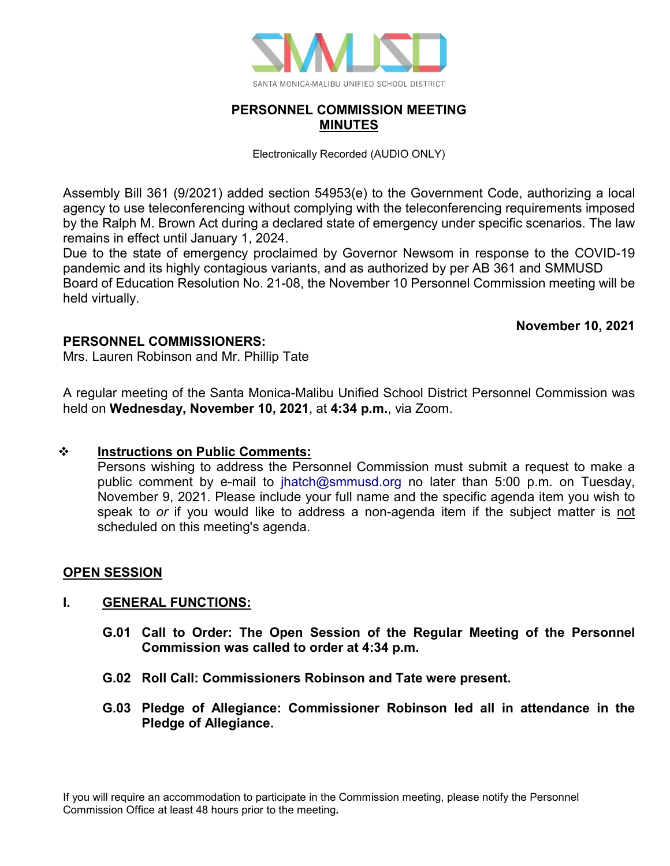

## **PERSONNEL COMMISSION MEETING MINUTES**

Electronically Recorded (AUDIO ONLY)

Assembly Bill 361 (9/2021) added section 54953(e) to the Government Code, authorizing a local agency to use teleconferencing without complying with the teleconferencing requirements imposed by the Ralph M. Brown Act during a declared state of emergency under specific scenarios. The law remains in effect until January 1, 2024.

Due to the state of emergency proclaimed by Governor Newsom in response to the COVID-19 pandemic and its highly contagious variants, and as authorized by per AB 361 and SMMUSD Board of Education Resolution No. 21-08, the November 10 Personnel Commission meeting will be held virtually.

### **November 10, 2021**

## **PERSONNEL COMMISSIONERS:**

Mrs. Lauren Robinson and Mr. Phillip Tate

A regular meeting of the Santa Monica-Malibu Unified School District Personnel Commission was held on **Wednesday, November 10, 2021**, at **4:34 p.m.**, via Zoom.

### **Instructions on Public Comments:**

Persons wishing to address the Personnel Commission must submit a request to make a public comment by e-mail to [jhatch@smmusd.org](mailto:jhatch@smmusd.org) no later than 5:00 p.m. on Tuesday, November 9, 2021. Please include your full name and the specific agenda item you wish to speak to *or* if you would like to address a non-agenda item if the subject matter is not scheduled on this meeting's agenda.

### **OPEN SESSION**

### **I. GENERAL FUNCTIONS:**

- **G.01 Call to Order: The Open Session of the Regular Meeting of the Personnel Commission was called to order at 4:34 p.m.**
- **G.02 Roll Call: Commissioners Robinson and Tate were present.**
- **G.03 Pledge of Allegiance: Commissioner Robinson led all in attendance in the Pledge of Allegiance.**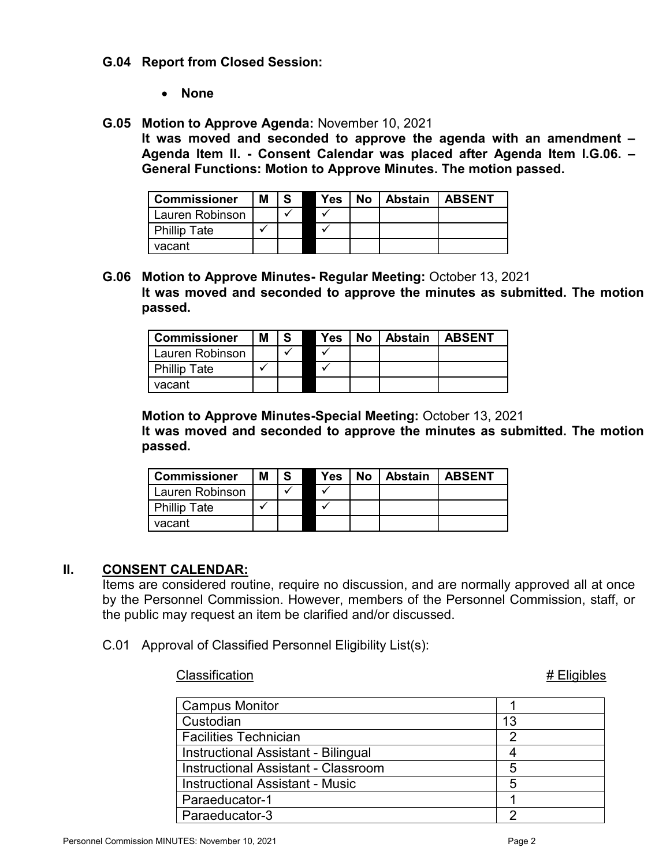#### **G.04 Report from Closed Session:**

• **None**

#### **G.05 Motion to Approve Agenda:** November 10, 2021

**It was moved and seconded to approve the agenda with an amendment – Agenda Item II. - Consent Calendar was placed after Agenda Item I.G.06. – General Functions: Motion to Approve Minutes. The motion passed.**

| <b>Commissioner</b> | М |  | Yes | No   Abstain   ABSENT |  |
|---------------------|---|--|-----|-----------------------|--|
| Lauren Robinson     |   |  |     |                       |  |
| <b>Phillip Tate</b> |   |  |     |                       |  |
| vacant              |   |  |     |                       |  |

**G.06 Motion to Approve Minutes- Regular Meeting:** October 13, 2021 **It was moved and seconded to approve the minutes as submitted. The motion passed.**

| <b>Commissioner</b> | Μ |  | Yes | <b>No</b> | <b>Abstain</b> | <b>ABSENT</b> |
|---------------------|---|--|-----|-----------|----------------|---------------|
| Lauren Robinson     |   |  |     |           |                |               |
| <b>Phillip Tate</b> |   |  |     |           |                |               |
| vacant              |   |  |     |           |                |               |

**Motion to Approve Minutes-Special Meeting:** October 13, 2021 **It was moved and seconded to approve the minutes as submitted. The motion passed.**

| <b>Commissioner</b> | Μ |  | Yes | No | Abstain | <b>LABSENT</b> |
|---------------------|---|--|-----|----|---------|----------------|
| Lauren Robinson     |   |  |     |    |         |                |
| <b>Phillip Tate</b> |   |  |     |    |         |                |
| vacant              |   |  |     |    |         |                |

### **II. CONSENT CALENDAR:**

Items are considered routine, require no discussion, and are normally approved all at once by the Personnel Commission. However, members of the Personnel Commission, staff, or the public may request an item be clarified and/or discussed.

> Paraeducator-1 1 Paraeducator-3 2

C.01 Approval of Classified Personnel Eligibility List(s):

#### Classification **# Eligibles**

# Campus Monitor **1** 1 Custodian 13<br>Facilities Technician 13 Facilities Technician 2 Instructional Assistant - Bilingual 4 Instructional Assistant - Classroom **Fig. 1** 5 Instructional Assistant - Music **Fig. 10.13 and 13.13 and 13.13 and 13.13 and 13.13 and 13.13 and 13.13 and 13.1**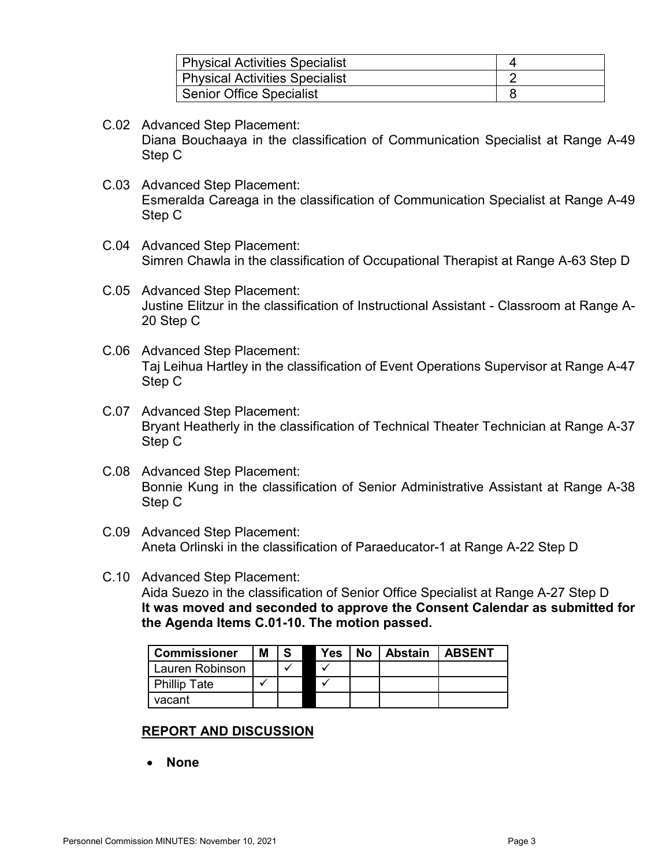| Physical Activities Specialist  |  |
|---------------------------------|--|
| Physical Activities Specialist  |  |
| <b>Senior Office Specialist</b> |  |

- C.02 Advanced Step Placement: Diana Bouchaaya in the classification of Communication Specialist at Range A-49 Step C
- C.03 Advanced Step Placement: Esmeralda Careaga in the classification of Communication Specialist at Range A-49 Step C
- C.04 Advanced Step Placement: Simren Chawla in the classification of Occupational Therapist at Range A-63 Step D
- C.05 Advanced Step Placement: Justine Elitzur in the classification of Instructional Assistant - Classroom at Range A-20 Step C
- C.06 Advanced Step Placement: Taj Leihua Hartley in the classification of Event Operations Supervisor at Range A-47 Step C
- C.07 Advanced Step Placement: Bryant Heatherly in the classification of Technical Theater Technician at Range A-37 Step C
- C.08 Advanced Step Placement: Bonnie Kung in the classification of Senior Administrative Assistant at Range A-38 Step C
- C.09 Advanced Step Placement: Aneta Orlinski in the classification of Paraeducator-1 at Range A-22 Step D
- C.10 Advanced Step Placement: Aida Suezo in the classification of Senior Office Specialist at Range A-27 Step D **It was moved and seconded to approve the Consent Calendar as submitted for the Agenda Items C.01-10. The motion passed.**

| <b>Commissioner</b> | M | -S | <b>Yes</b> | No l | <b>Abstain</b> | <b>LABSENT</b> |
|---------------------|---|----|------------|------|----------------|----------------|
| Lauren Robinson     |   |    |            |      |                |                |
| <b>Phillip Tate</b> |   |    |            |      |                |                |
| vacant              |   |    |            |      |                |                |

### **REPORT AND DISCUSSION**

• **None**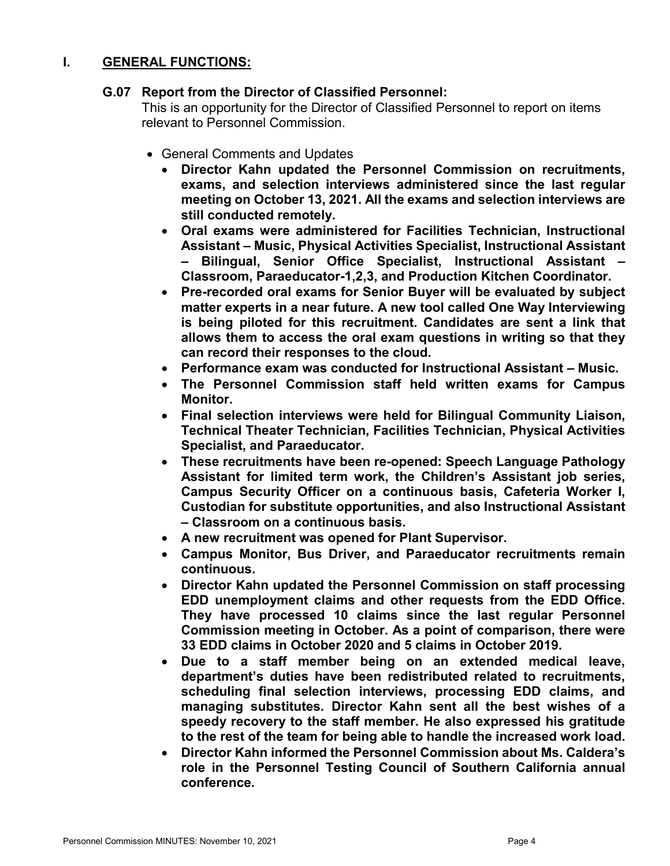## **I. GENERAL FUNCTIONS:**

### **G.07 Report from the Director of Classified Personnel:**

This is an opportunity for the Director of Classified Personnel to report on items relevant to Personnel Commission.

- General Comments and Updates
	- **Director Kahn updated the Personnel Commission on recruitments, exams, and selection interviews administered since the last regular meeting on October 13, 2021. All the exams and selection interviews are still conducted remotely.**
	- **Oral exams were administered for Facilities Technician, Instructional Assistant – Music, Physical Activities Specialist, Instructional Assistant – Bilingual, Senior Office Specialist, Instructional Assistant – Classroom, Paraeducator-1,2,3, and Production Kitchen Coordinator.**
	- **Pre-recorded oral exams for Senior Buyer will be evaluated by subject matter experts in a near future. A new tool called One Way Interviewing is being piloted for this recruitment. Candidates are sent a link that allows them to access the oral exam questions in writing so that they can record their responses to the cloud.**
	- **Performance exam was conducted for Instructional Assistant – Music.**
	- **The Personnel Commission staff held written exams for Campus Monitor.**
	- **Final selection interviews were held for Bilingual Community Liaison, Technical Theater Technician, Facilities Technician, Physical Activities Specialist, and Paraeducator.**
	- **These recruitments have been re-opened: Speech Language Pathology Assistant for limited term work, the Children's Assistant job series, Campus Security Officer on a continuous basis, Cafeteria Worker I, Custodian for substitute opportunities, and also Instructional Assistant – Classroom on a continuous basis.**
	- **A new recruitment was opened for Plant Supervisor.**
	- **Campus Monitor, Bus Driver, and Paraeducator recruitments remain continuous.**
	- **Director Kahn updated the Personnel Commission on staff processing EDD unemployment claims and other requests from the EDD Office. They have processed 10 claims since the last regular Personnel Commission meeting in October. As a point of comparison, there were 33 EDD claims in October 2020 and 5 claims in October 2019.**
	- **Due to a staff member being on an extended medical leave, department's duties have been redistributed related to recruitments, scheduling final selection interviews, processing EDD claims, and managing substitutes. Director Kahn sent all the best wishes of a speedy recovery to the staff member. He also expressed his gratitude to the rest of the team for being able to handle the increased work load.**
	- **Director Kahn informed the Personnel Commission about Ms. Caldera's role in the Personnel Testing Council of Southern California annual conference.**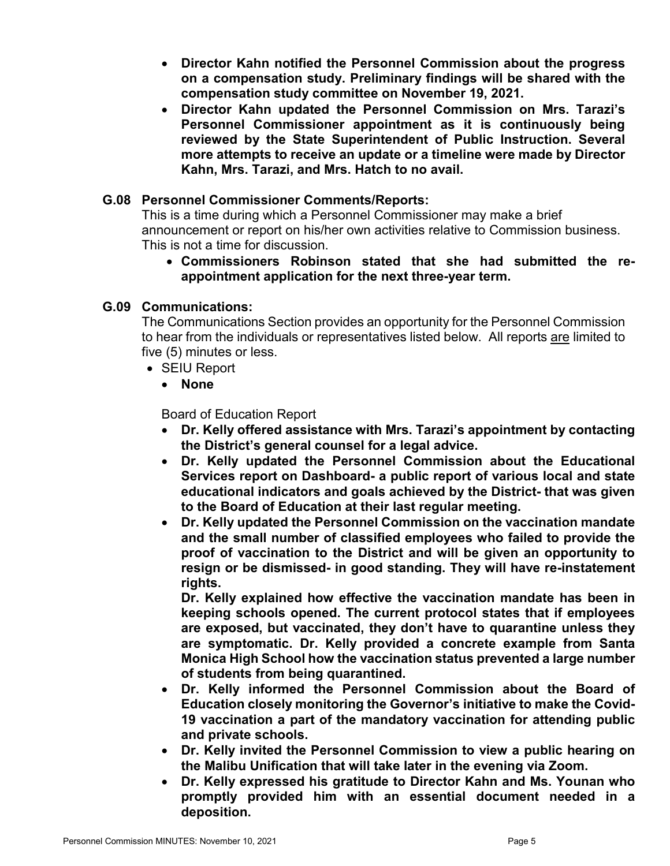- **Director Kahn notified the Personnel Commission about the progress on a compensation study. Preliminary findings will be shared with the compensation study committee on November 19, 2021.**
- **Director Kahn updated the Personnel Commission on Mrs. Tarazi's Personnel Commissioner appointment as it is continuously being reviewed by the State Superintendent of Public Instruction. Several more attempts to receive an update or a timeline were made by Director Kahn, Mrs. Tarazi, and Mrs. Hatch to no avail.**

## **G.08 Personnel Commissioner Comments/Reports:**

This is a time during which a Personnel Commissioner may make a brief announcement or report on his/her own activities relative to Commission business. This is not a time for discussion.

• **Commissioners Robinson stated that she had submitted the reappointment application for the next three-year term.**

### **G.09 Communications:**

The Communications Section provides an opportunity for the Personnel Commission to hear from the individuals or representatives listed below. All reports are limited to five (5) minutes or less.

- SEIU Report
	- **None**

Board of Education Report

- **Dr. Kelly offered assistance with Mrs. Tarazi's appointment by contacting the District's general counsel for a legal advice.**
- **Dr. Kelly updated the Personnel Commission about the Educational Services report on Dashboard- a public report of various local and state educational indicators and goals achieved by the District- that was given to the Board of Education at their last regular meeting.**
- **Dr. Kelly updated the Personnel Commission on the vaccination mandate and the small number of classified employees who failed to provide the proof of vaccination to the District and will be given an opportunity to resign or be dismissed- in good standing. They will have re-instatement rights.**

**Dr. Kelly explained how effective the vaccination mandate has been in keeping schools opened. The current protocol states that if employees are exposed, but vaccinated, they don't have to quarantine unless they are symptomatic. Dr. Kelly provided a concrete example from Santa Monica High School how the vaccination status prevented a large number of students from being quarantined.** 

- **Dr. Kelly informed the Personnel Commission about the Board of Education closely monitoring the Governor's initiative to make the Covid-19 vaccination a part of the mandatory vaccination for attending public and private schools.**
- **Dr. Kelly invited the Personnel Commission to view a public hearing on the Malibu Unification that will take later in the evening via Zoom.**
- **Dr. Kelly expressed his gratitude to Director Kahn and Ms. Younan who promptly provided him with an essential document needed in a deposition.**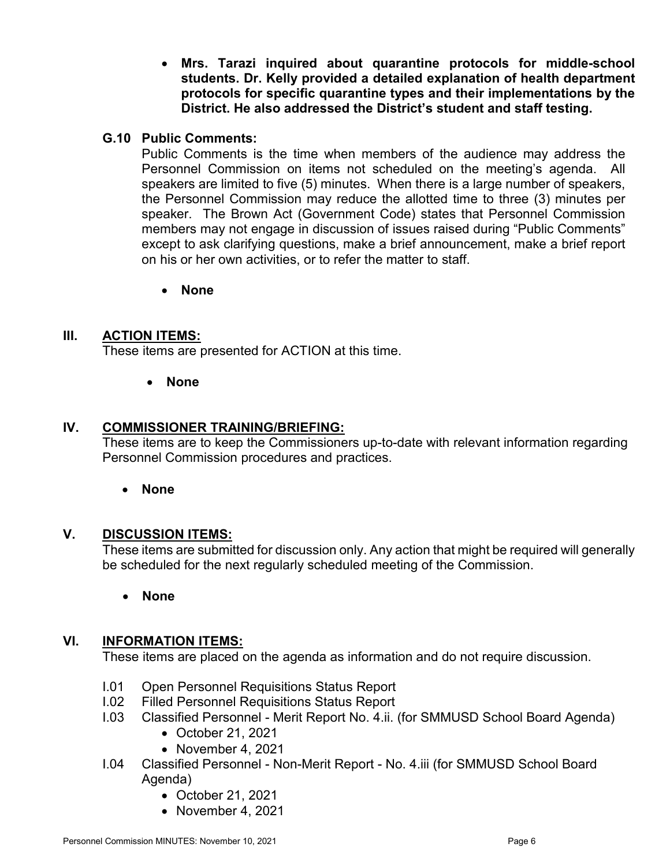• **Mrs. Tarazi inquired about quarantine protocols for middle-school students. Dr. Kelly provided a detailed explanation of health department protocols for specific quarantine types and their implementations by the District. He also addressed the District's student and staff testing.** 

### **G.10 Public Comments:**

Public Comments is the time when members of the audience may address the Personnel Commission on items not scheduled on the meeting's agenda. All speakers are limited to five (5) minutes. When there is a large number of speakers, the Personnel Commission may reduce the allotted time to three (3) minutes per speaker. The Brown Act (Government Code) states that Personnel Commission members may not engage in discussion of issues raised during "Public Comments" except to ask clarifying questions, make a brief announcement, make a brief report on his or her own activities, or to refer the matter to staff.

• **None**

### **III. ACTION ITEMS:**

These items are presented for ACTION at this time.

• **None**

#### **IV. COMMISSIONER TRAINING/BRIEFING:**

These items are to keep the Commissioners up-to-date with relevant information regarding Personnel Commission procedures and practices.

#### • **None**

### **V. DISCUSSION ITEMS:**

These items are submitted for discussion only. Any action that might be required will generally be scheduled for the next regularly scheduled meeting of the Commission.

• **None**

#### **VI. INFORMATION ITEMS:**

These items are placed on the agenda as information and do not require discussion.

- I.01 Open Personnel Requisitions Status Report
- I.02 Filled Personnel Requisitions Status Report
- I.03 Classified Personnel Merit Report No. 4.ii. (for SMMUSD School Board Agenda)
	- October 21, 2021
	- November 4, 2021
- I.04 Classified Personnel Non-Merit Report No. 4.iii (for SMMUSD School Board Agenda)
	- October 21, 2021
	- November 4, 2021